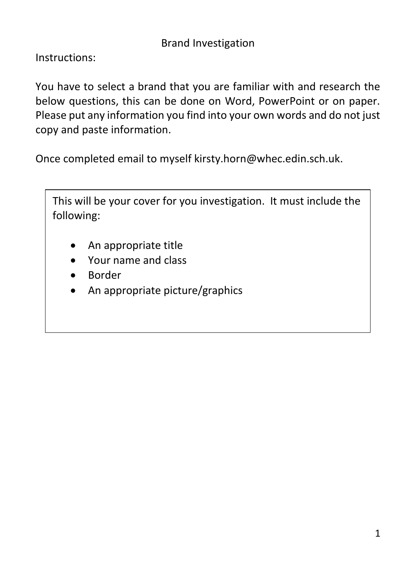Instructions:

You have to select a brand that you are familiar with and research the below questions, this can be done on Word, PowerPoint or on paper. Please put any information you find into your own words and do not just copy and paste information.

Once completed email to myself kirsty.horn@whec.edin.sch.uk.

This will be your cover for you investigation. It must include the following:

- An appropriate title
- Your name and class
- Border
- An appropriate picture/graphics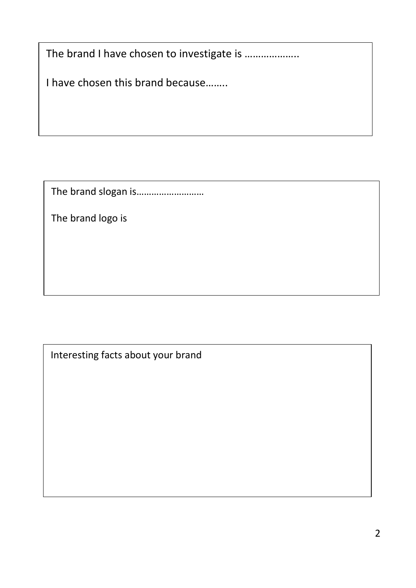The brand I have chosen to investigate is ....................

I have chosen this brand because……..

The brand slogan is………………………

The brand logo is

Interesting facts about your brand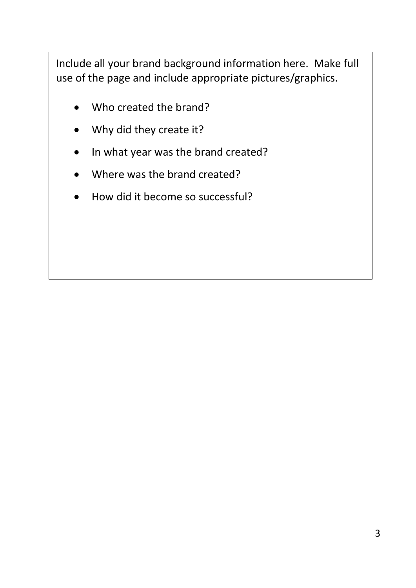Include all your brand background information here. Make full use of the page and include appropriate pictures/graphics.

- Who created the brand?
- Why did they create it?
- In what year was the brand created?
- Where was the brand created?
- How did it become so successful?